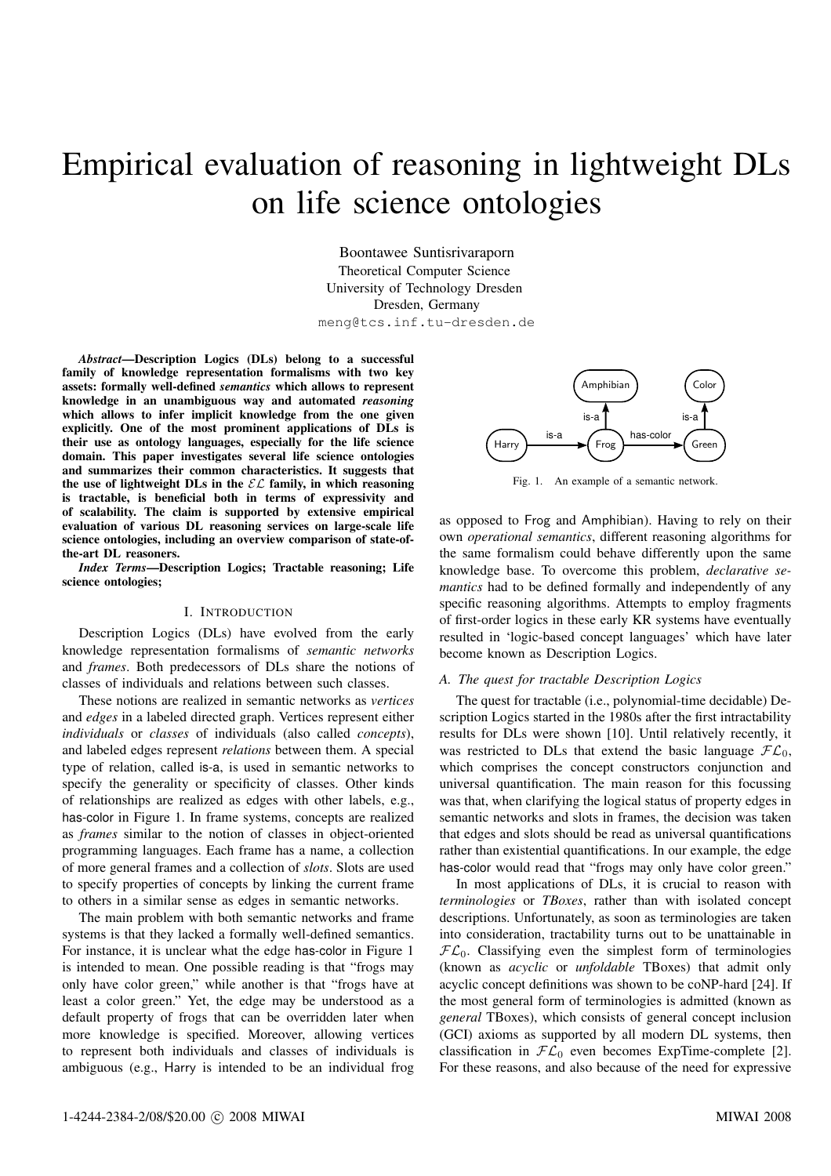# Empirical evaluation of reasoning in lightweight DLs on life science ontologies

Boontawee Suntisrivaraporn Theoretical Computer Science University of Technology Dresden Dresden, Germany meng@tcs.inf.tu-dresden.de

*Abstract***—Description Logics (DLs) belong to a successful family of knowledge representation formalisms with two key assets: formally well-defined** *semantics* **which allows to represent knowledge in an unambiguous way and automated** *reasoning* **which allows to infer implicit knowledge from the one given explicitly. One of the most prominent applications of DLs is their use as ontology languages, especially for the life science domain. This paper investigates several life science ontologies and summarizes their common characteristics. It suggests that the use** of **lightweight** DLs in the  $\mathcal{EL}$  family, in which reasoning **is tractable, is beneficial both in terms of expressivity and of scalability. The claim is supported by extensive empirical evaluation of various DL reasoning services on large-scale life science ontologies, including an overview comparison of state-ofthe-art DL reasoners.**

*Index Terms***—Description Logics; Tractable reasoning; Life science ontologies;**

# I. INTRODUCTION

Description Logics (DLs) have evolved from the early knowledge representation formalisms of *semantic networks* and *frames*. Both predecessors of DLs share the notions of classes of individuals and relations between such classes.

These notions are realized in semantic networks as *vertices* and *edges* in a labeled directed graph. Vertices represent either *individuals* or *classes* of individuals (also called *concepts*), and labeled edges represent *relations* between them. A special type of relation, called is-a, is used in semantic networks to specify the generality or specificity of classes. Other kinds of relationships are realized as edges with other labels, e.g., has-color in Figure 1. In frame systems, concepts are realized as *frames* similar to the notion of classes in object-oriented programming languages. Each frame has a name, a collection of more general frames and a collection of *slots*. Slots are used to specify properties of concepts by linking the current frame to others in a similar sense as edges in semantic networks.

The main problem with both semantic networks and frame systems is that they lacked a formally well-defined semantics. For instance, it is unclear what the edge has-color in Figure 1 is intended to mean. One possible reading is that "frogs may only have color green," while another is that "frogs have at least a color green." Yet, the edge may be understood as a default property of frogs that can be overridden later when more knowledge is specified. Moreover, allowing vertices to represent both individuals and classes of individuals is ambiguous (e.g., Harry is intended to be an individual frog



Fig. 1. An example of a semantic network.

as opposed to Frog and Amphibian). Having to rely on their own *operational semantics*, different reasoning algorithms for the same formalism could behave differently upon the same knowledge base. To overcome this problem, *declarative semantics* had to be defined formally and independently of any specific reasoning algorithms. Attempts to employ fragments of first-order logics in these early KR systems have eventually resulted in 'logic-based concept languages' which have later become known as Description Logics.

# *A. The quest for tractable Description Logics*

The quest for tractable (i.e., polynomial-time decidable) Description Logics started in the 1980s after the first intractability results for DLs were shown [10]. Until relatively recently, it was restricted to DLs that extend the basic language  $\mathcal{FL}_0$ , which comprises the concept constructors conjunction and universal quantification. The main reason for this focussing was that, when clarifying the logical status of property edges in semantic networks and slots in frames, the decision was taken that edges and slots should be read as universal quantifications rather than existential quantifications. In our example, the edge has-color would read that "frogs may only have color green."

In most applications of DLs, it is crucial to reason with *terminologies* or *TBoxes*, rather than with isolated concept descriptions. Unfortunately, as soon as terminologies are taken into consideration, tractability turns out to be unattainable in  $\mathcal{FL}_0$ . Classifying even the simplest form of terminologies (known as *acyclic* or *unfoldable* TBoxes) that admit only acyclic concept definitions was shown to be coNP-hard [24]. If the most general form of terminologies is admitted (known as *general* TBoxes), which consists of general concept inclusion (GCI) axioms as supported by all modern DL systems, then classification in  $\mathcal{FL}_0$  even becomes ExpTime-complete [2]. For these reasons, and also because of the need for expressive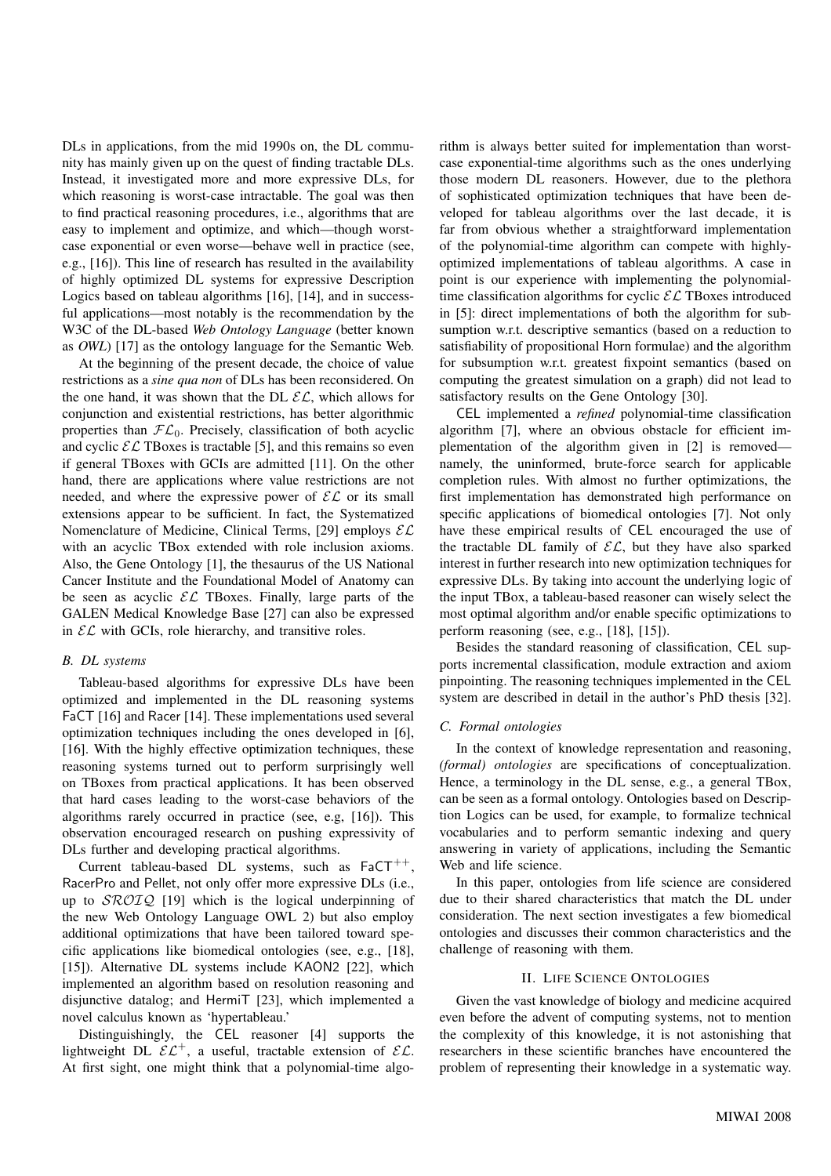DLs in applications, from the mid 1990s on, the DL community has mainly given up on the quest of finding tractable DLs. Instead, it investigated more and more expressive DLs, for which reasoning is worst-case intractable. The goal was then to find practical reasoning procedures, i.e., algorithms that are easy to implement and optimize, and which—though worstcase exponential or even worse—behave well in practice (see, e.g., [16]). This line of research has resulted in the availability of highly optimized DL systems for expressive Description Logics based on tableau algorithms [16], [14], and in successful applications—most notably is the recommendation by the W3C of the DL-based *Web Ontology Language* (better known as *OWL*) [17] as the ontology language for the Semantic Web.

At the beginning of the present decade, the choice of value restrictions as a *sine qua non* of DLs has been reconsidered. On the one hand, it was shown that the DL  $\mathcal{EL}$ , which allows for conjunction and existential restrictions, has better algorithmic properties than  $FL_0$ . Precisely, classification of both acyclic and cyclic  $\mathcal{EL}$  TBoxes is tractable [5], and this remains so even if general TBoxes with GCIs are admitted [11]. On the other hand, there are applications where value restrictions are not needed, and where the expressive power of  $\mathcal{EL}$  or its small extensions appear to be sufficient. In fact, the Systematized Nomenclature of Medicine, Clinical Terms, [29] employs  $\mathcal{EL}$ with an acyclic TBox extended with role inclusion axioms. Also, the Gene Ontology [1], the thesaurus of the US National Cancer Institute and the Foundational Model of Anatomy can be seen as acyclic  $\mathcal{EL}$  TBoxes. Finally, large parts of the GALEN Medical Knowledge Base [27] can also be expressed in  $\mathcal{EL}$  with GCIs, role hierarchy, and transitive roles.

# *B. DL systems*

Tableau-based algorithms for expressive DLs have been optimized and implemented in the DL reasoning systems FaCT [16] and Racer [14]. These implementations used several optimization techniques including the ones developed in [6], [16]. With the highly effective optimization techniques, these reasoning systems turned out to perform surprisingly well on TBoxes from practical applications. It has been observed that hard cases leading to the worst-case behaviors of the algorithms rarely occurred in practice (see, e.g, [16]). This observation encouraged research on pushing expressivity of DLs further and developing practical algorithms.

Current tableau-based DL systems, such as  $FaCT^{++}$ , RacerPro and Pellet, not only offer more expressive DLs (i.e., up to  $\text{SROTQ}$  [19] which is the logical underpinning of the new Web Ontology Language OWL 2) but also employ additional optimizations that have been tailored toward specific applications like biomedical ontologies (see, e.g., [18], [15]). Alternative DL systems include KAON2 [22], which implemented an algorithm based on resolution reasoning and disjunctive datalog; and HermiT [23], which implemented a novel calculus known as 'hypertableau.'

Distinguishingly, the CEL reasoner [4] supports the lightweight DL  $\mathcal{EL}^+$ , a useful, tractable extension of  $\mathcal{EL}$ . At first sight, one might think that a polynomial-time algorithm is always better suited for implementation than worstcase exponential-time algorithms such as the ones underlying those modern DL reasoners. However, due to the plethora of sophisticated optimization techniques that have been developed for tableau algorithms over the last decade, it is far from obvious whether a straightforward implementation of the polynomial-time algorithm can compete with highlyoptimized implementations of tableau algorithms. A case in point is our experience with implementing the polynomialtime classification algorithms for cyclic  $\mathcal{EL}$  TBoxes introduced in [5]: direct implementations of both the algorithm for subsumption w.r.t. descriptive semantics (based on a reduction to satisfiability of propositional Horn formulae) and the algorithm for subsumption w.r.t. greatest fixpoint semantics (based on computing the greatest simulation on a graph) did not lead to satisfactory results on the Gene Ontology [30].

CEL implemented a *refined* polynomial-time classification algorithm [7], where an obvious obstacle for efficient implementation of the algorithm given in [2] is removed namely, the uninformed, brute-force search for applicable completion rules. With almost no further optimizations, the first implementation has demonstrated high performance on specific applications of biomedical ontologies [7]. Not only have these empirical results of CEL encouraged the use of the tractable DL family of  $\mathcal{EL}$ , but they have also sparked interest in further research into new optimization techniques for expressive DLs. By taking into account the underlying logic of the input TBox, a tableau-based reasoner can wisely select the most optimal algorithm and/or enable specific optimizations to perform reasoning (see, e.g., [18], [15]).

Besides the standard reasoning of classification, CEL supports incremental classification, module extraction and axiom pinpointing. The reasoning techniques implemented in the CEL system are described in detail in the author's PhD thesis [32].

## *C. Formal ontologies*

In the context of knowledge representation and reasoning, *(formal) ontologies* are specifications of conceptualization. Hence, a terminology in the DL sense, e.g., a general TBox, can be seen as a formal ontology. Ontologies based on Description Logics can be used, for example, to formalize technical vocabularies and to perform semantic indexing and query answering in variety of applications, including the Semantic Web and life science.

In this paper, ontologies from life science are considered due to their shared characteristics that match the DL under consideration. The next section investigates a few biomedical ontologies and discusses their common characteristics and the challenge of reasoning with them.

## II. LIFE SCIENCE ONTOLOGIES

Given the vast knowledge of biology and medicine acquired even before the advent of computing systems, not to mention the complexity of this knowledge, it is not astonishing that researchers in these scientific branches have encountered the problem of representing their knowledge in a systematic way.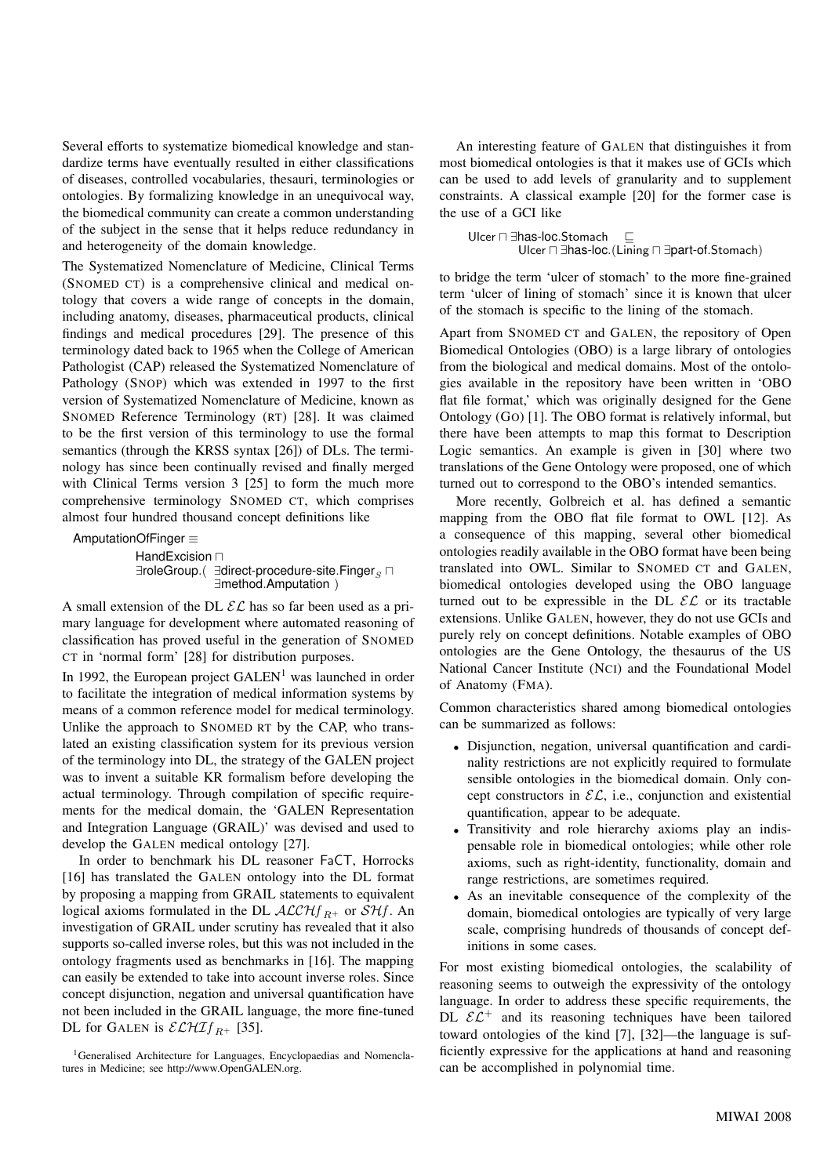Several efforts to systematize biomedical knowledge and standardize terms have eventually resulted in either classifications of diseases, controlled vocabularies, thesauri, terminologies or ontologies. By formalizing knowledge in an unequivocal way, the biomedical community can create a common understanding of the subject in the sense that it helps reduce redundancy in and heterogeneity of the domain knowledge.

The Systematized Nomenclature of Medicine, Clinical Terms (SNOMED CT) is a comprehensive clinical and medical ontology that covers a wide range of concepts in the domain, including anatomy, diseases, pharmaceutical products, clinical findings and medical procedures [29]. The presence of this terminology dated back to 1965 when the College of American Pathologist (CAP) released the Systematized Nomenclature of Pathology (SNOP) which was extended in 1997 to the first version of Systematized Nomenclature of Medicine, known as SNOMED Reference Terminology (RT) [28]. It was claimed to be the first version of this terminology to use the formal semantics (through the KRSS syntax [26]) of DLs. The terminology has since been continually revised and finally merged with Clinical Terms version 3 [25] to form the much more comprehensive terminology SNOMED CT, which comprises almost four hundred thousand concept definitions like

AmputationOfFinger ≡

 $H$ andExcision  $\sqcap$ ∃roleGroup.( ∃direct-procedure-site.Finger<sub>s</sub> n ∃method.Amputation )

A small extension of the DL  $\mathcal{EL}$  has so far been used as a primary language for development where automated reasoning of classification has proved useful in the generation of SNOMED CT in 'normal form' [28] for distribution purposes.

In 1992, the European project  $GALEN<sup>1</sup>$  was launched in order to facilitate the integration of medical information systems by means of a common reference model for medical terminology. Unlike the approach to SNOMED RT by the CAP, who translated an existing classification system for its previous version of the terminology into DL, the strategy of the GALEN project was to invent a suitable KR formalism before developing the actual terminology. Through compilation of specific requirements for the medical domain, the 'GALEN Representation and Integration Language (GRAIL)' was devised and used to develop the GALEN medical ontology [27].

In order to benchmark his DL reasoner FaCT, Horrocks [16] has translated the GALEN ontology into the DL format by proposing a mapping from GRAIL statements to equivalent logical axioms formulated in the DL  $ALCHf_{R+}$  or  $S Hf$ . An investigation of GRAIL under scrutiny has revealed that it also supports so-called inverse roles, but this was not included in the ontology fragments used as benchmarks in [16]. The mapping can easily be extended to take into account inverse roles. Since concept disjunction, negation and universal quantification have not been included in the GRAIL language, the more fine-tuned DL for GALEN is  $\mathcal{ELHIf}_{R^+}$  [35].

<sup>1</sup>Generalised Architecture for Languages, Encyclopaedias and Nomenclatures in Medicine; see http://www.OpenGALEN.org.

An interesting feature of GALEN that distinguishes it from most biomedical ontologies is that it makes use of GCIs which can be used to add levels of granularity and to supplement constraints. A classical example [20] for the former case is the use of a GCI like

Ulcer  $\sqcap$  ∃has-loc.Stomach  $\square$ Ulcer  $\Box$  ∃has-loc.(Lining  $\Box$  ∃part-of.Stomach)

to bridge the term 'ulcer of stomach' to the more fine-grained term 'ulcer of lining of stomach' since it is known that ulcer of the stomach is specific to the lining of the stomach.

Apart from SNOMED CT and GALEN, the repository of Open Biomedical Ontologies (OBO) is a large library of ontologies from the biological and medical domains. Most of the ontologies available in the repository have been written in 'OBO flat file format,' which was originally designed for the Gene Ontology (GO) [1]. The OBO format is relatively informal, but there have been attempts to map this format to Description Logic semantics. An example is given in [30] where two translations of the Gene Ontology were proposed, one of which turned out to correspond to the OBO's intended semantics.

More recently, Golbreich et al. has defined a semantic mapping from the OBO flat file format to OWL [12]. As a consequence of this mapping, several other biomedical ontologies readily available in the OBO format have been being translated into OWL. Similar to SNOMED CT and GALEN, biomedical ontologies developed using the OBO language turned out to be expressible in the DL  $\mathcal{EL}$  or its tractable extensions. Unlike GALEN, however, they do not use GCIs and purely rely on concept definitions. Notable examples of OBO ontologies are the Gene Ontology, the thesaurus of the US National Cancer Institute (NCI) and the Foundational Model of Anatomy (FMA).

Common characteristics shared among biomedical ontologies can be summarized as follows:

- Disjunction, negation, universal quantification and cardinality restrictions are not explicitly required to formulate sensible ontologies in the biomedical domain. Only concept constructors in  $\mathcal{EL}$ , i.e., conjunction and existential quantification, appear to be adequate.
- Transitivity and role hierarchy axioms play an indispensable role in biomedical ontologies; while other role axioms, such as right-identity, functionality, domain and range restrictions, are sometimes required.
- As an inevitable consequence of the complexity of the domain, biomedical ontologies are typically of very large scale, comprising hundreds of thousands of concept definitions in some cases.

For most existing biomedical ontologies, the scalability of reasoning seems to outweigh the expressivity of the ontology language. In order to address these specific requirements, the DL  $\mathcal{EL}^+$  and its reasoning techniques have been tailored toward ontologies of the kind [7], [32]—the language is sufficiently expressive for the applications at hand and reasoning can be accomplished in polynomial time.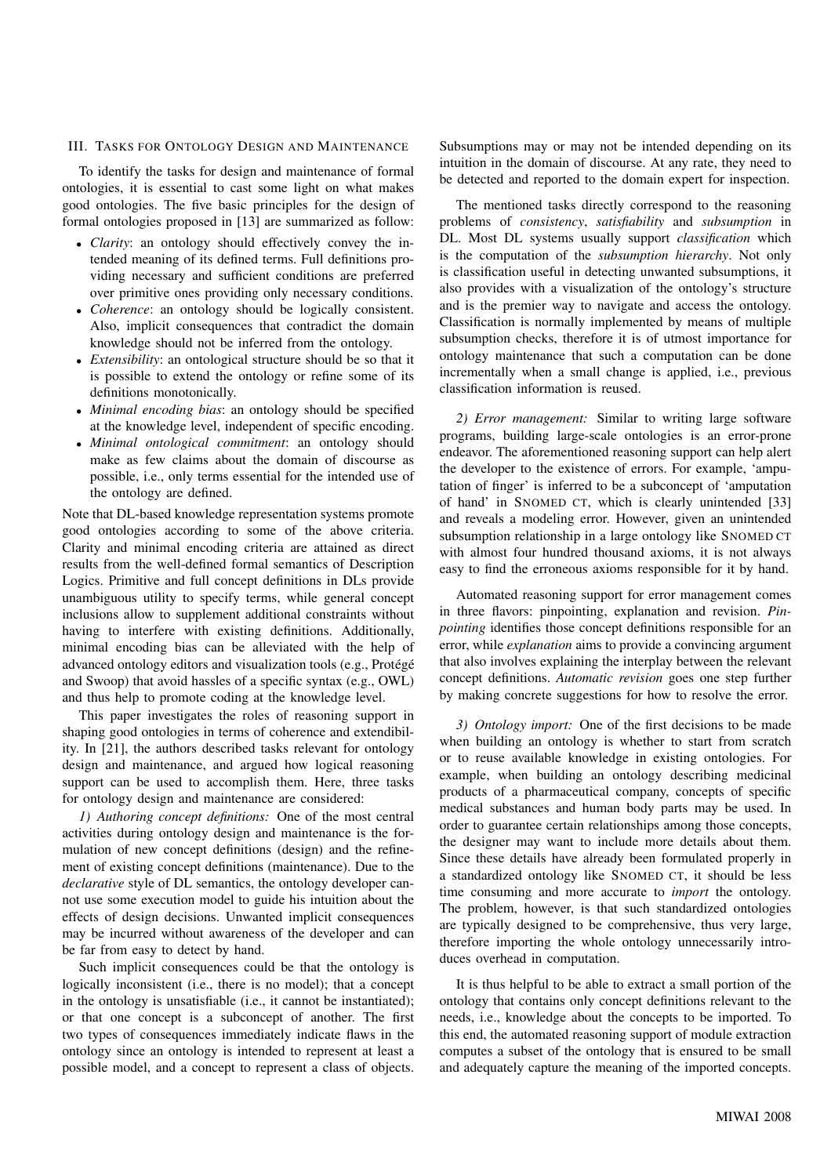# III. TASKS FOR ONTOLOGY DESIGN AND MAINTENANCE

To identify the tasks for design and maintenance of formal ontologies, it is essential to cast some light on what makes good ontologies. The five basic principles for the design of formal ontologies proposed in [13] are summarized as follow:

- *Clarity*: an ontology should effectively convey the intended meaning of its defined terms. Full definitions providing necessary and sufficient conditions are preferred over primitive ones providing only necessary conditions.
- *Coherence*: an ontology should be logically consistent. Also, implicit consequences that contradict the domain knowledge should not be inferred from the ontology.
- *Extensibility*: an ontological structure should be so that it is possible to extend the ontology or refine some of its definitions monotonically.
- *Minimal encoding bias*: an ontology should be specified at the knowledge level, independent of specific encoding.
- *Minimal ontological commitment*: an ontology should make as few claims about the domain of discourse as possible, i.e., only terms essential for the intended use of the ontology are defined.

Note that DL-based knowledge representation systems promote good ontologies according to some of the above criteria. Clarity and minimal encoding criteria are attained as direct results from the well-defined formal semantics of Description Logics. Primitive and full concept definitions in DLs provide unambiguous utility to specify terms, while general concept inclusions allow to supplement additional constraints without having to interfere with existing definitions. Additionally, minimal encoding bias can be alleviated with the help of advanced ontology editors and visualization tools (e.g., Protégé and Swoop) that avoid hassles of a specific syntax (e.g., OWL) and thus help to promote coding at the knowledge level.

This paper investigates the roles of reasoning support in shaping good ontologies in terms of coherence and extendibility. In [21], the authors described tasks relevant for ontology design and maintenance, and argued how logical reasoning support can be used to accomplish them. Here, three tasks for ontology design and maintenance are considered:

*1) Authoring concept definitions:* One of the most central activities during ontology design and maintenance is the formulation of new concept definitions (design) and the refinement of existing concept definitions (maintenance). Due to the *declarative* style of DL semantics, the ontology developer cannot use some execution model to guide his intuition about the effects of design decisions. Unwanted implicit consequences may be incurred without awareness of the developer and can be far from easy to detect by hand.

Such implicit consequences could be that the ontology is logically inconsistent (i.e., there is no model); that a concept in the ontology is unsatisfiable (i.e., it cannot be instantiated); or that one concept is a subconcept of another. The first two types of consequences immediately indicate flaws in the ontology since an ontology is intended to represent at least a possible model, and a concept to represent a class of objects.

Subsumptions may or may not be intended depending on its intuition in the domain of discourse. At any rate, they need to be detected and reported to the domain expert for inspection.

The mentioned tasks directly correspond to the reasoning problems of *consistency*, *satisfiability* and *subsumption* in DL. Most DL systems usually support *classification* which is the computation of the *subsumption hierarchy*. Not only is classification useful in detecting unwanted subsumptions, it also provides with a visualization of the ontology's structure and is the premier way to navigate and access the ontology. Classification is normally implemented by means of multiple subsumption checks, therefore it is of utmost importance for ontology maintenance that such a computation can be done incrementally when a small change is applied, i.e., previous classification information is reused.

*2) Error management:* Similar to writing large software programs, building large-scale ontologies is an error-prone endeavor. The aforementioned reasoning support can help alert the developer to the existence of errors. For example, 'amputation of finger' is inferred to be a subconcept of 'amputation of hand' in SNOMED CT, which is clearly unintended [33] and reveals a modeling error. However, given an unintended subsumption relationship in a large ontology like SNOMED CT with almost four hundred thousand axioms, it is not always easy to find the erroneous axioms responsible for it by hand.

Automated reasoning support for error management comes in three flavors: pinpointing, explanation and revision. *Pinpointing* identifies those concept definitions responsible for an error, while *explanation* aims to provide a convincing argument that also involves explaining the interplay between the relevant concept definitions. *Automatic revision* goes one step further by making concrete suggestions for how to resolve the error.

*3) Ontology import:* One of the first decisions to be made when building an ontology is whether to start from scratch or to reuse available knowledge in existing ontologies. For example, when building an ontology describing medicinal products of a pharmaceutical company, concepts of specific medical substances and human body parts may be used. In order to guarantee certain relationships among those concepts, the designer may want to include more details about them. Since these details have already been formulated properly in a standardized ontology like SNOMED CT, it should be less time consuming and more accurate to *import* the ontology. The problem, however, is that such standardized ontologies are typically designed to be comprehensive, thus very large, therefore importing the whole ontology unnecessarily introduces overhead in computation.

It is thus helpful to be able to extract a small portion of the ontology that contains only concept definitions relevant to the needs, i.e., knowledge about the concepts to be imported. To this end, the automated reasoning support of module extraction computes a subset of the ontology that is ensured to be small and adequately capture the meaning of the imported concepts.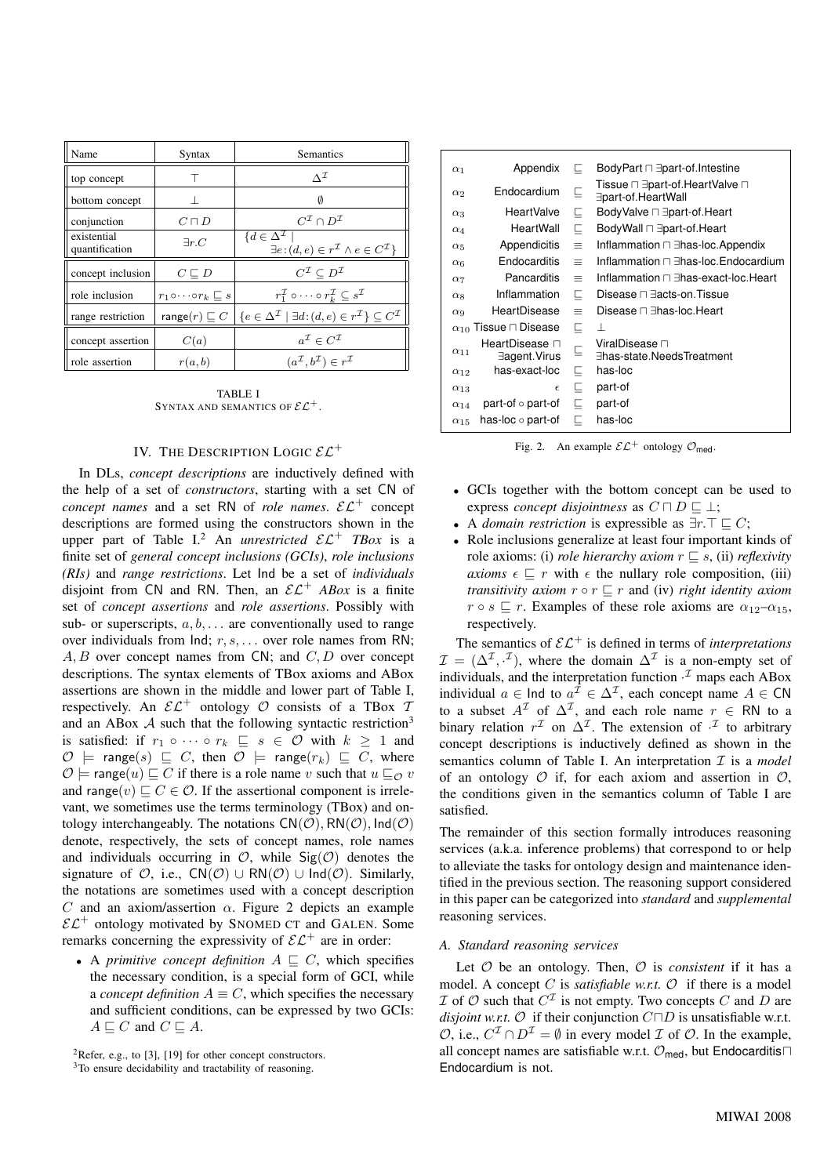| Name                          | Syntax                                     | <b>Semantics</b>                                                                                                                    |
|-------------------------------|--------------------------------------------|-------------------------------------------------------------------------------------------------------------------------------------|
| top concept                   | т                                          | $\wedge^{\mathcal{I}}$                                                                                                              |
| bottom concept                |                                            | 0                                                                                                                                   |
| conjunction                   | $C\sqcap D$                                | $C^{\mathcal{I}} \cap D^{\mathcal{I}}$                                                                                              |
| existential<br>quantification | $\exists r.C$                              | $\{d \in \Delta^{\mathcal{I}}\}$<br>$\exists e: (d, e) \in r^{\mathcal{I}} \wedge e \in C^{\mathcal{I}}\}$                          |
| concept inclusion             | $C \sqsubseteq D$                          | $C^{\mathcal{I}} \subset D^{\mathcal{I}}$                                                                                           |
| role inclusion                | $r_1 \circ \cdots \circ r_k \sqsubseteq s$ | $r_1^{\mathcal{I}} \circ \cdots \circ r_k^{\mathcal{I}} \subseteq s^{\mathcal{I}}$                                                  |
| range restriction             |                                            | range $(r) \sqsubseteq C \mid \{e \in \Delta^{\mathcal{I}} \mid \exists d : (d, e) \in r^{\mathcal{I}}\} \subseteq C^{\mathcal{I}}$ |
| concept assertion             | C(a)                                       | $a^{\mathcal{I}} \in C^{\mathcal{I}}$                                                                                               |
| role assertion                | r(a,b)                                     | $(a^{\mathcal{I}}, b^{\mathcal{I}}) \in r^{\mathcal{I}}$                                                                            |

TABLE I SYNTAX AND SEMANTICS OF  $\mathcal{EL}^+$  .

# IV. THE DESCRIPTION LOGIC  $\mathcal{EL}^+$

In DLs, *concept descriptions* are inductively defined with the help of a set of *constructors*, starting with a set CN of *concept names* and a set RN of *role names.*  $\mathcal{EL}^+$  concept descriptions are formed using the constructors shown in the upper part of Table I.<sup>2</sup> An *unrestricted*  $\mathcal{EL}^+$  *TBox* is a finite set of *general concept inclusions (GCIs)*, *role inclusions (RIs)* and *range restrictions*. Let Ind be a set of *individuals* disjoint from CN and RN. Then, an  $\mathcal{EL}^+$  *ABox* is a finite set of *concept assertions* and *role assertions*. Possibly with sub- or superscripts,  $a, b, \ldots$  are conventionally used to range over individuals from  $Ind; r, s, \ldots$  over role names from RN;  $A, B$  over concept names from CN; and  $C, D$  over concept descriptions. The syntax elements of TBox axioms and ABox assertions are shown in the middle and lower part of Table I, respectively. An  $\mathcal{EL}^+$  ontology  $\mathcal O$  consists of a TBox 7 and an ABox  $A$  such that the following syntactic restriction<sup>3</sup> is satisfied: if  $r_1 \circ \cdots \circ r_k \subseteq s \in \mathcal{O}$  with  $k \geq 1$  and  $\mathcal{O}$  = range(s)  $\Box$  C, then  $\mathcal{O}$  = range( $r_k$ )  $\Box$  C, where  $\mathcal{O} \models \text{range}(u) \sqsubset C$  if there is a role name v such that  $u \sqsubset_{\mathcal{O}} v$ and range(v)  $\Box$  C  $\in \mathcal{O}$ . If the assertional component is irrelevant, we sometimes use the terms terminology (TBox) and ontology interchangeably. The notations  $CN(\mathcal{O}), RN(\mathcal{O}), Ind(\mathcal{O})$ denote, respectively, the sets of concept names, role names and individuals occurring in  $\mathcal{O}$ , while  $\text{Sig}(\mathcal{O})$  denotes the signature of  $\mathcal{O}$ , i.e.,  $CN(\mathcal{O}) \cup RN(\mathcal{O}) \cup Ind(\mathcal{O})$ . Similarly, the notations are sometimes used with a concept description C and an axiom/assertion  $\alpha$ . Figure 2 depicts an example  $\mathcal{EL}^+$  ontology motivated by SNOMED CT and GALEN. Some remarks concerning the expressivity of  $\mathcal{EL}^+$  are in order:

• A *primitive concept definition*  $A \nightharpoonup C$ , which specifies the necessary condition, is a special form of GCI, while a *concept definition*  $A \equiv C$ , which specifies the necessary and sufficient conditions, can be expressed by two GCIs:  $A \sqsubseteq C$  and  $C \sqsubseteq A$ .

<sup>2</sup>Refer, e.g., to [3], [19] for other concept constructors.

<sup>3</sup>To ensure decidability and tractability of reasoning.

| $\alpha_1$            | Appendix                            | c,          | BodyPart $\sqcap \exists$ part-of.Intestine          |
|-----------------------|-------------------------------------|-------------|------------------------------------------------------|
| $\alpha_2$            | Endocardium                         | ⊑           | Tissue ⊓ ∃part-of.HeartValve ⊓<br>∃part-of.HeartWall |
| $\alpha_3$            | HeartValve                          | Е           | BodyValve $\sqcap$ $\exists$ part-of.Heart           |
| $\alpha_4$            | HeartWall                           | С           | BodyWall $\sqcap \exists$ part-of.Heart              |
| $\alpha_5$            | Appendicitis                        | $\equiv$    | Inflammation □ ∃has-loc.Appendix                     |
| $\alpha_6$            | Endocarditis                        | $\equiv$    | Inflammation □ ∃has-loc.Endocardium                  |
| $\alpha$ <sup>7</sup> | Pancarditis                         | $\equiv$    | Inflammation □ ∃has-exact-loc.Heart                  |
| $\alpha$ 8            | Inflammation                        | С           | Disease □ ∃acts-on. Tissue                           |
| $\alpha$ <sup>9</sup> | HeartDisease                        | $\equiv$    | Disease □ ∃has-loc.Heart                             |
|                       | $\alpha_{10}$ Tissue $\Box$ Disease | Е           | ⊥                                                    |
| $\alpha_{11}$         | HeartDisease n<br>∃agent.Virus      | $\subseteq$ | ViralDisease ⊓<br>∃has-state.NeedsTreatment          |
| $\alpha_{12}$         | has-exact-loc                       | ⊑           | has-loc                                              |
| $\alpha_{13}$         | $\epsilon$                          | 匚           | part-of                                              |
| $\alpha_{14}$         | part-of $\circ$ part-of             | ⊏           | part-of                                              |
| $\alpha_{15}$         | has-loc o part-of                   | ⊏           | has-loc                                              |

Fig. 2. An example  $\mathcal{EL}^+$  ontology  $\mathcal{O}_{\text{med}}$ .

- GCIs together with the bottom concept can be used to express *concept* disjointness as  $C \sqcap D \sqsubseteq \bot$ ;
- A *domain restriction* is expressible as  $\exists r.\top \sqsubseteq C;$
- Role inclusions generalize at least four important kinds of role axioms: (i) *role hierarchy axiom*  $r \subseteq s$ , (ii) *reflexivity axioms*  $\epsilon \subseteq r$  with  $\epsilon$  the nullary role composition, (iii) *transitivity axiom*  $r \circ r \sqsubseteq r$  and (iv) *right identity axiom*  $r \circ s \sqsubseteq r$ . Examples of these role axioms are  $\alpha_{12}-\alpha_{15}$ , respectively.

The semantics of  $\mathcal{EL}^+$  is defined in terms of *interpretations*  $\mathcal{I} = (\Delta^{\mathcal{I}}, \cdot^{\mathcal{I}})$ , where the domain  $\Delta^{\mathcal{I}}$  is a non-empty set of individuals, and the interpretation function  $\cdot^{\mathcal{I}}$  maps each ABox individual  $a \in \text{Ind}$  to  $a^{\mathcal{I}} \in \Delta^{\mathcal{I}}$ , each concept name  $A \in \text{CN}$ to a subset  $A^{\mathcal{I}}$  of  $\Delta^{\mathcal{I}}$ , and each role name  $r \in \mathsf{RN}$  to a binary relation  $r^{\mathcal{I}}$  on  $\Delta^{\mathcal{I}}$ . The extension of  $\cdot^{\mathcal{I}}$  to arbitrary concept descriptions is inductively defined as shown in the semantics column of Table I. An interpretation  $\mathcal I$  is a *model* of an ontology  $O$  if, for each axiom and assertion in  $O$ , the conditions given in the semantics column of Table I are satisfied.

The remainder of this section formally introduces reasoning services (a.k.a. inference problems) that correspond to or help to alleviate the tasks for ontology design and maintenance identified in the previous section. The reasoning support considered in this paper can be categorized into *standard* and *supplemental* reasoning services.

# *A. Standard reasoning services*

Let  $O$  be an ontology. Then,  $O$  is *consistent* if it has a model. A concept C is *satisfiable w.r.t.*  $\mathcal{O}$  if there is a model  $I$  of  $O$  such that  $C^{I}$  is not empty. Two concepts  $C$  and  $D$  are *disjoint w.r.t.*  $\mathcal O$  if their conjunction  $C \Box D$  is unsatisfiable w.r.t.  $\mathcal{O}$ , i.e.,  $C^{\mathcal{I}} \cap D^{\mathcal{I}} = \emptyset$  in every model  $\mathcal I$  of  $\mathcal O$ . In the example, all concept names are satisfiable w.r.t.  $\mathcal{O}_{\text{med}}$ , but Endocarditis Endocardium is not.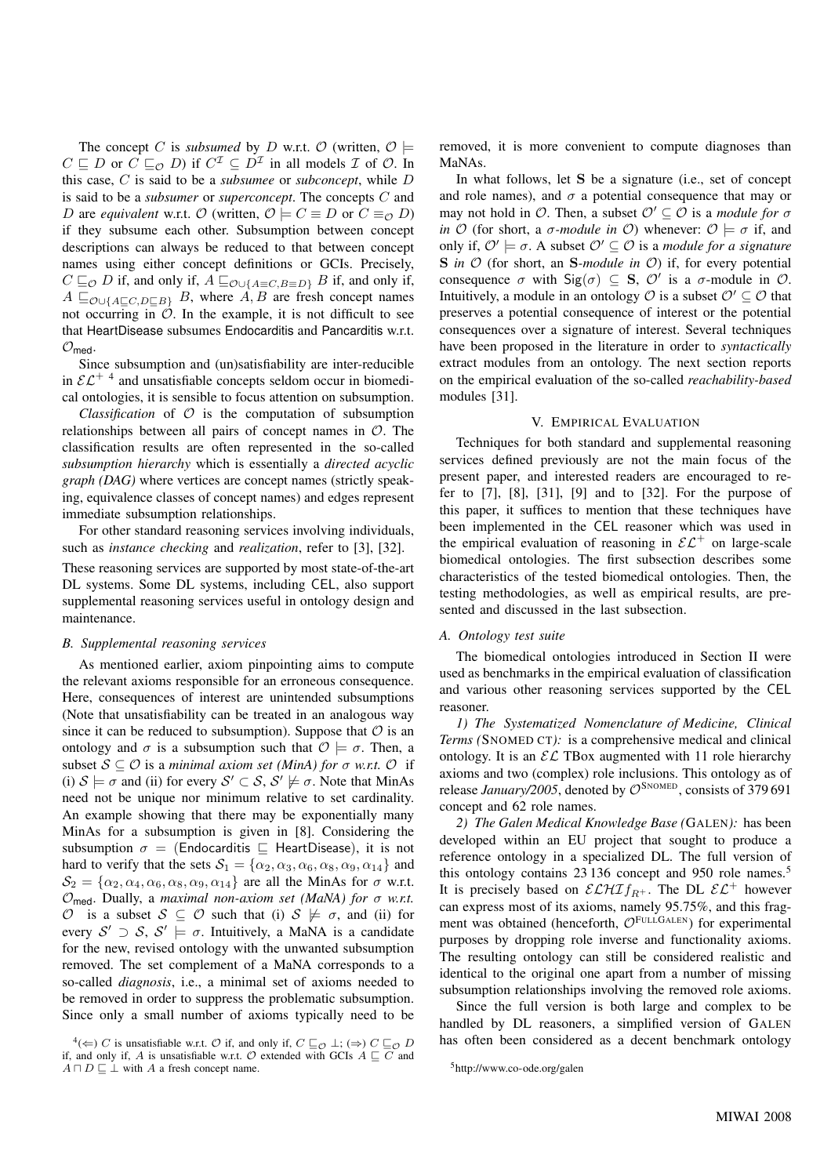The concept C is *subsumed* by D w.r.t. O (written,  $\mathcal{O} \models$  $C \sqsubseteq D$  or  $C \sqsubseteq_{\mathcal{O}} D$ ) if  $C^{\mathcal{I}} \subseteq D^{\mathcal{I}}$  in all models  $\mathcal I$  of  $\mathcal O$ . In this case, C is said to be a *subsumee* or *subconcept*, while D is said to be a *subsumer* or *superconcept*. The concepts C and D are *equivalent* w.r.t.  $\mathcal{O}$  (written,  $\mathcal{O} \models C \equiv D$  or  $C \equiv_{\mathcal{O}} D$ ) if they subsume each other. Subsumption between concept descriptions can always be reduced to that between concept names using either concept definitions or GCIs. Precisely,  $C \sqsubseteq_{\mathcal{O}} D$  if, and only if,  $A \sqsubseteq_{\mathcal{O}\cup\{A\equiv C, B\equiv D\}} B$  if, and only if,  $A \sqsubseteq_{\mathcal{O} \cup \{A \sqsubseteq C, D \sqsubseteq B\}} B$ , where  $A, B$  are fresh concept names not occurring in  $\hat{O}$ . In the example, it is not difficult to see that HeartDisease subsumes Endocarditis and Pancarditis w.r.t.  $\mathcal{O}_{\text{med}}$ .

Since subsumption and (un)satisfiability are inter-reducible in  $\mathcal{EL}^{+4}$  and unsatisfiable concepts seldom occur in biomedical ontologies, it is sensible to focus attention on subsumption.

*Classification* of  $\mathcal O$  is the computation of subsumption relationships between all pairs of concept names in  $\mathcal{O}$ . The classification results are often represented in the so-called *subsumption hierarchy* which is essentially a *directed acyclic graph (DAG)* where vertices are concept names (strictly speaking, equivalence classes of concept names) and edges represent immediate subsumption relationships.

For other standard reasoning services involving individuals, such as *instance checking* and *realization*, refer to [3], [32].

These reasoning services are supported by most state-of-the-art DL systems. Some DL systems, including CEL, also support supplemental reasoning services useful in ontology design and maintenance.

#### *B. Supplemental reasoning services*

As mentioned earlier, axiom pinpointing aims to compute the relevant axioms responsible for an erroneous consequence. Here, consequences of interest are unintended subsumptions (Note that unsatisfiability can be treated in an analogous way since it can be reduced to subsumption). Suppose that  $\mathcal O$  is an ontology and  $\sigma$  is a subsumption such that  $\mathcal{O} \models \sigma$ . Then, a subset  $S \subseteq \mathcal{O}$  is a *minimal axiom set (MinA)* for  $\sigma$  *w.r.t.*  $\mathcal{O}$  if (i)  $S \models \sigma$  and (ii) for every  $S' \subset S$ ,  $S' \not\models \sigma$ . Note that MinAs need not be unique nor minimum relative to set cardinality. An example showing that there may be exponentially many MinAs for a subsumption is given in [8]. Considering the subsumption  $\sigma =$  (Endocarditis  $\Box$  HeartDisease), it is not hard to verify that the sets  $S_1 = {\alpha_2, \alpha_3, \alpha_6, \alpha_8, \alpha_9, \alpha_{14}}$  and  $\mathcal{S}_2 = {\alpha_2, \alpha_4, \alpha_6, \alpha_8, \alpha_9, \alpha_{14}}$  are all the MinAs for  $\sigma$  w.r.t. Omed. Dually, a *maximal non-axiom set (MaNA) for* σ *w.r.t.* O is a subset  $S \subseteq \mathcal{O}$  such that (i)  $S \not\models \sigma$ , and (ii) for every  $S' \supset S$ ,  $S' \models \sigma$ . Intuitively, a MaNA is a candidate for the new, revised ontology with the unwanted subsumption removed. The set complement of a MaNA corresponds to a so-called *diagnosis*, i.e., a minimal set of axioms needed to be removed in order to suppress the problematic subsumption. Since only a small number of axioms typically need to be removed, it is more convenient to compute diagnoses than MaNAs.

In what follows, let S be a signature (i.e., set of concept and role names), and  $\sigma$  a potential consequence that may or may not hold in  $\mathcal{O}$ . Then, a subset  $\mathcal{O}' \subseteq \mathcal{O}$  is a *module for*  $\sigma$ *in*  $\mathcal{O}$  (for short, a  $\sigma$ *-module in*  $\mathcal{O}$ ) whenever:  $\mathcal{O} \models \sigma$  if, and only if,  $\mathcal{O}' \models \sigma$ . A subset  $\mathcal{O}' \subseteq \mathcal{O}$  is a *module for a signature* S *in* O (for short, an S*-module in* O) if, for every potential consequence  $\sigma$  with  $\text{Sig}(\sigma) \subseteq \textbf{S}, \mathcal{O}'$  is a  $\sigma$ -module in  $\mathcal{O}.$ Intuitively, a module in an ontology  $\mathcal O$  is a subset  $\mathcal O' \subseteq \mathcal O$  that preserves a potential consequence of interest or the potential consequences over a signature of interest. Several techniques have been proposed in the literature in order to *syntactically* extract modules from an ontology. The next section reports on the empirical evaluation of the so-called *reachability-based* modules [31].

# V. EMPIRICAL EVALUATION

Techniques for both standard and supplemental reasoning services defined previously are not the main focus of the present paper, and interested readers are encouraged to refer to [7], [8], [31], [9] and to [32]. For the purpose of this paper, it suffices to mention that these techniques have been implemented in the CEL reasoner which was used in the empirical evaluation of reasoning in  $\mathcal{EL}^+$  on large-scale biomedical ontologies. The first subsection describes some characteristics of the tested biomedical ontologies. Then, the testing methodologies, as well as empirical results, are presented and discussed in the last subsection.

# *A. Ontology test suite*

The biomedical ontologies introduced in Section II were used as benchmarks in the empirical evaluation of classification and various other reasoning services supported by the CEL reasoner.

*1) The Systematized Nomenclature of Medicine, Clinical Terms (*SNOMED CT*):* is a comprehensive medical and clinical ontology. It is an  $\mathcal{EL}$  TBox augmented with 11 role hierarchy axioms and two (complex) role inclusions. This ontology as of release *January*/2005, denoted by  $\mathcal{O}^{\text{SNOMED}}$ , consists of 379 691 concept and 62 role names.

*2) The Galen Medical Knowledge Base (*GALEN*):* has been developed within an EU project that sought to produce a reference ontology in a specialized DL. The full version of this ontology contains 23 136 concept and 950 role names.<sup>5</sup> It is precisely based on  $\mathcal{ELHIf}_{R+}$ . The DL  $\mathcal{EL}^+$  however can express most of its axioms, namely 95.75%, and this fragment was obtained (henceforth,  $\mathcal{O}^{\text{FULLGALEN}}$ ) for experimental purposes by dropping role inverse and functionality axioms. The resulting ontology can still be considered realistic and identical to the original one apart from a number of missing subsumption relationships involving the removed role axioms.

Since the full version is both large and complex to be handled by DL reasoners, a simplified version of GALEN has often been considered as a decent benchmark ontology

<sup>&</sup>lt;sup>4</sup>( $\Leftarrow$ ) *C* is unsatisfiable w.r.t. *O* if, and only if, *C*  $\sqsubseteq$ <sub>*O*</sub> ⊥; ( $\Rightarrow$ ) *C*  $\sqsubseteq$ <sub>*O*</sub> *D* if, and only if, A is unsatisfiable w.r.t.  $\mathcal O$  extended with GCIs  $A \sqsubseteq C$  and  $A \sqcap D \sqsubseteq \bot$  with A a fresh concept name.

<sup>5</sup>http://www.co-ode.org/galen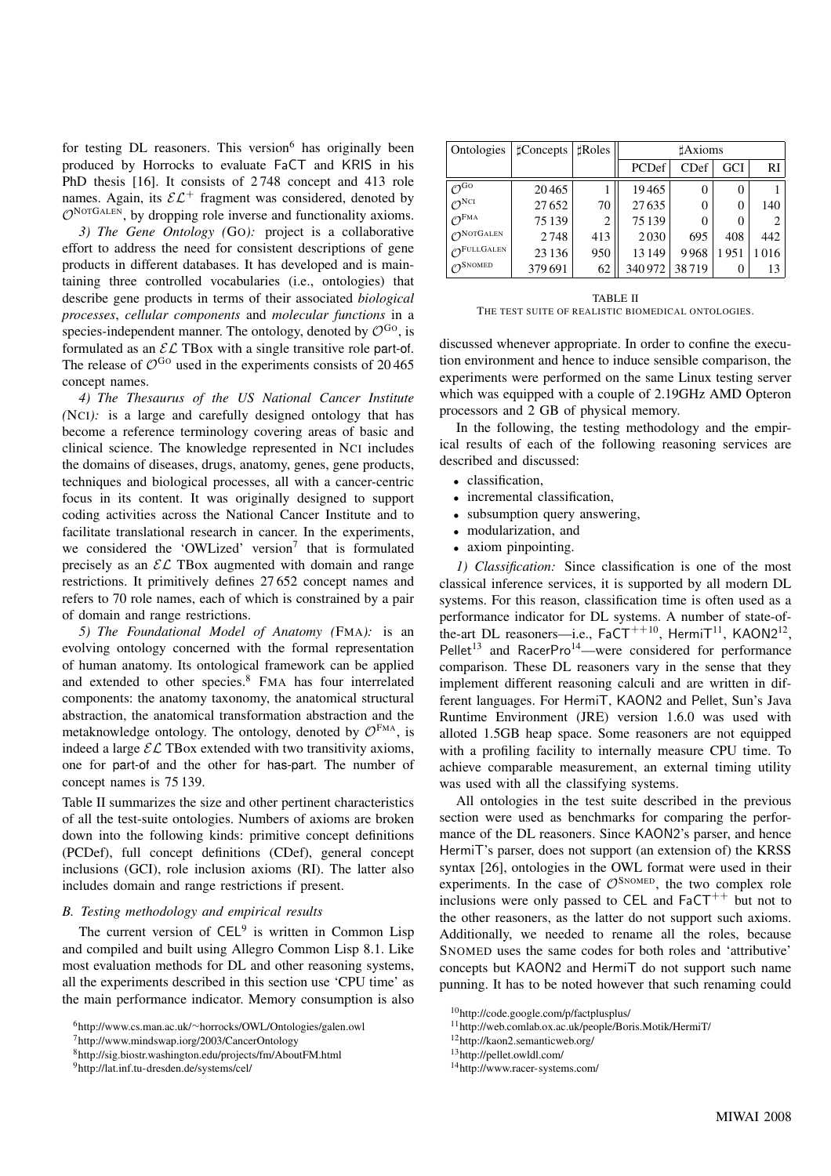for testing  $DL$  reasoners. This version  $6$  has originally been produced by Horrocks to evaluate FaCT and KRIS in his PhD thesis [16]. It consists of 2 748 concept and 413 role names. Again, its  $\mathcal{EL}^+$  fragment was considered, denoted by  $\mathcal{O}^{\text{NorGALEN}}$ , by dropping role inverse and functionality axioms.

*3) The Gene Ontology (*GO*):* project is a collaborative effort to address the need for consistent descriptions of gene products in different databases. It has developed and is maintaining three controlled vocabularies (i.e., ontologies) that describe gene products in terms of their associated *biological processes*, *cellular components* and *molecular functions* in a species-independent manner. The ontology, denoted by  $\mathcal{O}^{Go}$ , is formulated as an  $\mathcal{EL}$  TBox with a single transitive role part-of. The release of  $\mathcal{O}^{Go}$  used in the experiments consists of 20465 concept names.

*4) The Thesaurus of the US National Cancer Institute (*NCI*):* is a large and carefully designed ontology that has become a reference terminology covering areas of basic and clinical science. The knowledge represented in NCI includes the domains of diseases, drugs, anatomy, genes, gene products, techniques and biological processes, all with a cancer-centric focus in its content. It was originally designed to support coding activities across the National Cancer Institute and to facilitate translational research in cancer. In the experiments, we considered the 'OWLized' version<sup>7</sup> that is formulated precisely as an  $\mathcal{EL}$  TBox augmented with domain and range restrictions. It primitively defines 27 652 concept names and refers to 70 role names, each of which is constrained by a pair of domain and range restrictions.

*5) The Foundational Model of Anatomy (*FMA*):* is an evolving ontology concerned with the formal representation of human anatomy. Its ontological framework can be applied and extended to other species.<sup>8</sup> FMA has four interrelated components: the anatomy taxonomy, the anatomical structural abstraction, the anatomical transformation abstraction and the metaknowledge ontology. The ontology, denoted by  $\mathcal{O}^{\text{FMA}}$ , is indeed a large  $\mathcal{EL}$  TBox extended with two transitivity axioms, one for part-of and the other for has-part. The number of concept names is 75 139.

Table II summarizes the size and other pertinent characteristics of all the test-suite ontologies. Numbers of axioms are broken down into the following kinds: primitive concept definitions (PCDef), full concept definitions (CDef), general concept inclusions (GCI), role inclusion axioms (RI). The latter also includes domain and range restrictions if present.

## *B. Testing methodology and empirical results*

The current version of  $\mathsf{CEL}^9$  is written in Common Lisp and compiled and built using Allegro Common Lisp 8.1. Like most evaluation methods for DL and other reasoning systems, all the experiments described in this section use 'CPU time' as the main performance indicator. Memory consumption is also

| Ontologies                       | $\sharp$ Concepts | <b>Roles</b> |         | <b>Axioms</b> |                  |      |
|----------------------------------|-------------------|--------------|---------|---------------|------------------|------|
|                                  |                   |              | PCDef   | CDef          | <b>GCI</b>       | RI   |
| $\mathcal{O}^{\text{Go}}$        | 20465             |              | 19465   | 0             | $\left( \right)$ |      |
| $\mathcal{O}^{\text{NCI}}$       | 27652             | 70           | 27635   | $\theta$      | 0                | 140  |
| $\mathcal{O}^{\text{FMA}}$       | 75139             | 2            | 75 139  | $\Omega$      | 0                | 2    |
| $\mathcal{O}^{\text{NOTGALEN}}$  | 2748              | 413          | 2030    | 695           | 408              | 442  |
| $\mathcal{O}^{\text{FULLGALEN}}$ | 23 1 36           | 950          | 13 149  | 9968          | 1951             | 1016 |
| $O^{SNOMED}$                     | 379691            | 62           | 340 972 | 38719         |                  | 13   |

TABLE II THE TEST SUITE OF REALISTIC BIOMEDICAL ONTOLOGIES.

discussed whenever appropriate. In order to confine the execution environment and hence to induce sensible comparison, the experiments were performed on the same Linux testing server which was equipped with a couple of 2.19GHz AMD Opteron processors and 2 GB of physical memory.

In the following, the testing methodology and the empirical results of each of the following reasoning services are described and discussed:

- classification,
- incremental classification,
- subsumption query answering,
- modularization, and
- axiom pinpointing.

*1) Classification:* Since classification is one of the most classical inference services, it is supported by all modern DL systems. For this reason, classification time is often used as a performance indicator for DL systems. A number of state-ofthe-art DL reasoners—i.e.,  $FaCT^{++10}$ , HermiT<sup>11</sup>, KAON2<sup>12</sup>, Pellet<sup>13</sup> and RacerPro<sup>14</sup>—were considered for performance comparison. These DL reasoners vary in the sense that they implement different reasoning calculi and are written in different languages. For HermiT, KAON2 and Pellet, Sun's Java Runtime Environment (JRE) version 1.6.0 was used with alloted 1.5GB heap space. Some reasoners are not equipped with a profiling facility to internally measure CPU time. To achieve comparable measurement, an external timing utility was used with all the classifying systems.

All ontologies in the test suite described in the previous section were used as benchmarks for comparing the performance of the DL reasoners. Since KAON2's parser, and hence HermiT's parser, does not support (an extension of) the KRSS syntax [26], ontologies in the OWL format were used in their experiments. In the case of  $\mathcal{O}^{\text{SNOMED}}$ , the two complex role inclusions were only passed to CEL and  $F_a$ CT<sup>++</sup> but not to the other reasoners, as the latter do not support such axioms. Additionally, we needed to rename all the roles, because SNOMED uses the same codes for both roles and 'attributive' concepts but KAON2 and HermiT do not support such name punning. It has to be noted however that such renaming could

<sup>6</sup>http://www.cs.man.ac.uk/∼horrocks/OWL/Ontologies/galen.owl

<sup>7</sup>http://www.mindswap.iorg/2003/CancerOntology

<sup>8</sup>http://sig.biostr.washington.edu/projects/fm/AboutFM.html

<sup>9</sup>http://lat.inf.tu-dresden.de/systems/cel/

<sup>10</sup>http://code.google.com/p/factplusplus/

<sup>11</sup>http://web.comlab.ox.ac.uk/people/Boris.Motik/HermiT/

<sup>12</sup>http://kaon2.semanticweb.org/

<sup>13</sup>http://pellet.owldl.com/

<sup>14</sup>http://www.racer-systems.com/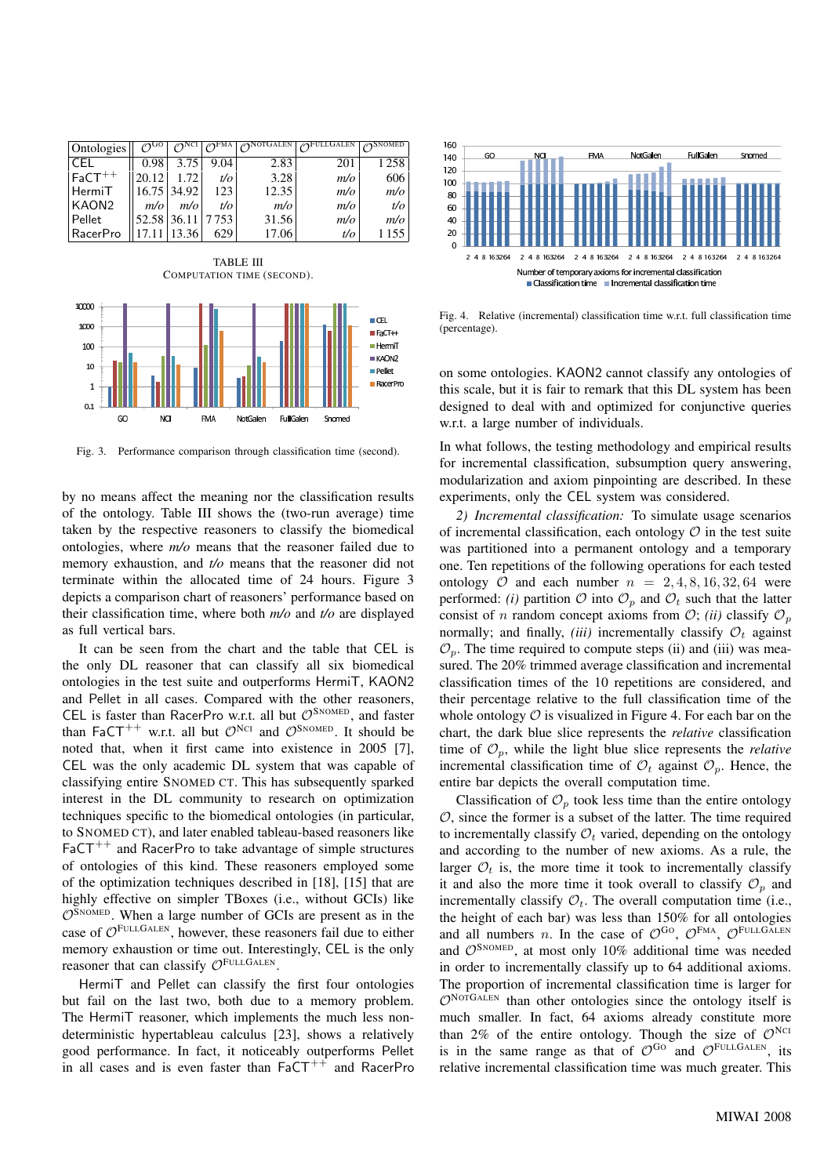| Ontologies        | .GO              | $\varphi$ <sup>NCI</sup> | FМА  | $\gamma$ NotGalen | FULLGALEN | <b>SNOMED</b> |
|-------------------|------------------|--------------------------|------|-------------------|-----------|---------------|
| LCEL.             | 0.98             | 3.75                     | 9.04 | 2.83              | 201       | 1258          |
| $FaCT^{++}$       | 20.12            | 1.72                     | t/o  | 3.28              | m/o       | 606           |
| HermiT            |                  | 16.75 34.92              | 123  | 12.35             | m/o       | m/o           |
| KAON <sub>2</sub> | m/o              | m/o                      | t/o  | m/o               | m/o       | t/o           |
| Pellet            | 52.58 36.11 7753 |                          |      | 31.56             | m/o       | m/o           |
| RacerPro          |                  | 17.11 13.36              | 629  | 17.06             | t/o       | 1 155         |



Fig. 3. Performance comparison through classification time (second).

by no means affect the meaning nor the classification results of the ontology. Table III shows the (two-run average) time taken by the respective reasoners to classify the biomedical ontologies, where *m/o* means that the reasoner failed due to memory exhaustion, and *t/o* means that the reasoner did not terminate within the allocated time of 24 hours. Figure 3 depicts a comparison chart of reasoners' performance based on their classification time, where both *m/o* and *t/o* are displayed as full vertical bars.

It can be seen from the chart and the table that CEL is the only DL reasoner that can classify all six biomedical ontologies in the test suite and outperforms HermiT, KAON2 and Pellet in all cases. Compared with the other reasoners, CEL is faster than RacerPro w.r.t. all but  $\mathcal{O}^{\text{SNOMED}}$ , and faster than FaCT<sup>++</sup> w.r.t. all but  $\mathcal{O}^{NCI}$  and  $\mathcal{O}^{S N O MED}$ . It should be noted that, when it first came into existence in 2005 [7], CEL was the only academic DL system that was capable of classifying entire SNOMED CT. This has subsequently sparked interest in the DL community to research on optimization techniques specific to the biomedical ontologies (in particular, to SNOMED CT), and later enabled tableau-based reasoners like  $FACT^{++}$  and RacerPro to take advantage of simple structures of ontologies of this kind. These reasoners employed some of the optimization techniques described in [18], [15] that are highly effective on simpler TBoxes (i.e., without GCIs) like  $\mathcal{O}^{\text{SNOMED}}$ . When a large number of GCIs are present as in the case of  $\mathcal{O}^{\text{FULLGALEN}}$ , however, these reasoners fail due to either memory exhaustion or time out. Interestingly, CEL is the only reasoner that can classify  $\mathcal{O}^{\text{FULLGALEN}}$ .

HermiT and Pellet can classify the first four ontologies but fail on the last two, both due to a memory problem. The HermiT reasoner, which implements the much less nondeterministic hypertableau calculus [23], shows a relatively good performance. In fact, it noticeably outperforms Pellet in all cases and is even faster than  $FaCT^{++}$  and RacerPro



Fig. 4. Relative (incremental) classification time w.r.t. full classification time (percentage).

on some ontologies. KAON2 cannot classify any ontologies of this scale, but it is fair to remark that this DL system has been designed to deal with and optimized for conjunctive queries w.r.t. a large number of individuals.

In what follows, the testing methodology and empirical results for incremental classification, subsumption query answering, modularization and axiom pinpointing are described. In these experiments, only the CEL system was considered.

*2) Incremental classification:* To simulate usage scenarios of incremental classification, each ontology  $\mathcal O$  in the test suite was partitioned into a permanent ontology and a temporary one. Ten repetitions of the following operations for each tested ontology  $O$  and each number  $n = 2, 4, 8, 16, 32, 64$  were performed: *(i)* partition  $\mathcal O$  into  $\mathcal O_p$  and  $\mathcal O_t$  such that the latter consist of *n* random concept axioms from  $\mathcal{O}$ ; *(ii)* classify  $\mathcal{O}_p$ normally; and finally, *(iii)* incrementally classify  $O_t$  against  $\mathcal{O}_p$ . The time required to compute steps (ii) and (iii) was measured. The 20% trimmed average classification and incremental classification times of the 10 repetitions are considered, and their percentage relative to the full classification time of the whole ontology  $\mathcal O$  is visualized in Figure 4. For each bar on the chart, the dark blue slice represents the *relative* classification time of  $\mathcal{O}_p$ , while the light blue slice represents the *relative* incremental classification time of  $\mathcal{O}_t$  against  $\mathcal{O}_p$ . Hence, the entire bar depicts the overall computation time.

Classification of  $\mathcal{O}_p$  took less time than the entire ontology  $O$ , since the former is a subset of the latter. The time required to incrementally classify  $\mathcal{O}_t$  varied, depending on the ontology and according to the number of new axioms. As a rule, the larger  $\mathcal{O}_t$  is, the more time it took to incrementally classify it and also the more time it took overall to classify  $\mathcal{O}_p$  and incrementally classify  $\mathcal{O}_t$ . The overall computation time (i.e., the height of each bar) was less than 150% for all ontologies and all numbers *n*. In the case of  $\mathcal{O}^{\text{GO}}$ ,  $\mathcal{O}^{\text{FMA}}$ ,  $\mathcal{O}^{\text{FULLGALEN}}$ and  $\mathcal{O}^{\text{SNOMED}}$ , at most only 10% additional time was needed in order to incrementally classify up to 64 additional axioms. The proportion of incremental classification time is larger for  $\mathcal{O}^{\text{NOTGALEN}}$  than other ontologies since the ontology itself is much smaller. In fact, 64 axioms already constitute more than 2% of the entire ontology. Though the size of  $\mathcal{O}^{NCI}$ is in the same range as that of  $\mathcal{O}^{\text{GO}}$  and  $\mathcal{O}^{\text{FULLGALEN}}$ , its relative incremental classification time was much greater. This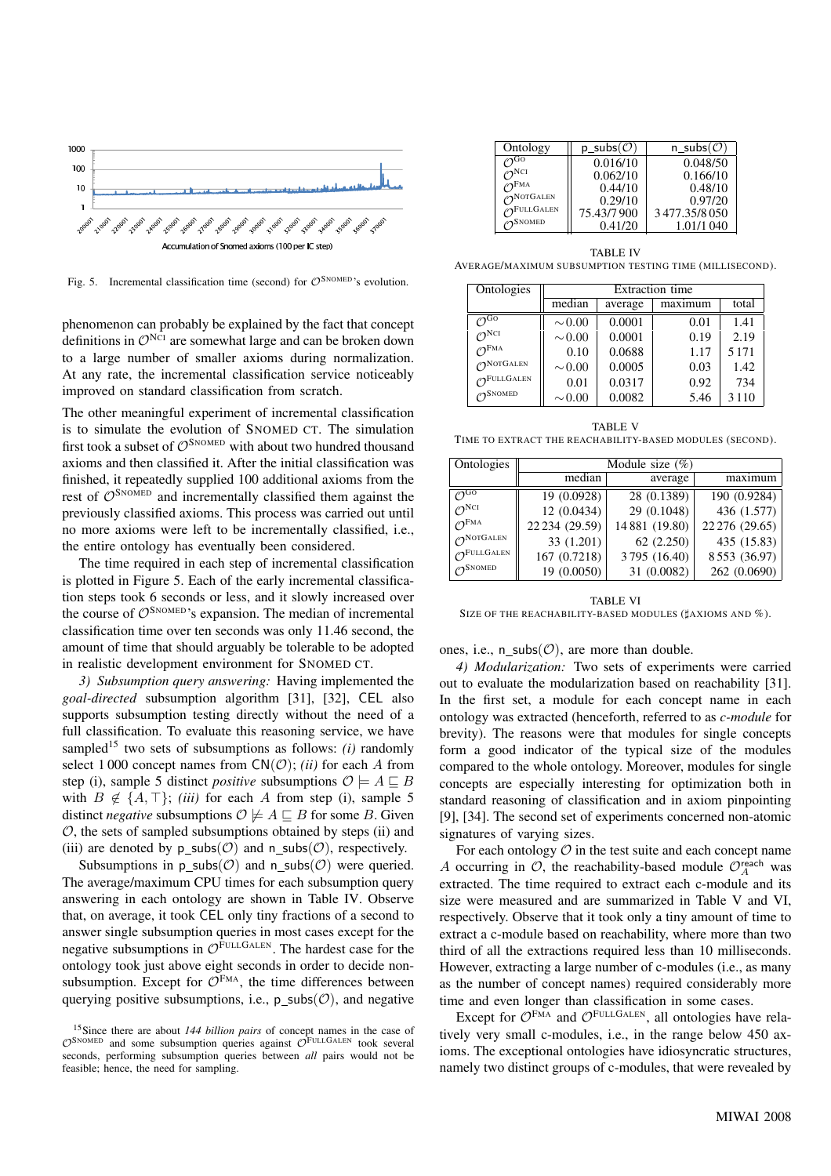

Fig. 5. Incremental classification time (second) for  $\mathcal{O}^{\text{SNOMED}}$ 's evolution.

phenomenon can probably be explained by the fact that concept definitions in  $\mathcal{O}^{NCI}$  are somewhat large and can be broken down to a large number of smaller axioms during normalization. At any rate, the incremental classification service noticeably improved on standard classification from scratch.

The other meaningful experiment of incremental classification is to simulate the evolution of SNOMED CT. The simulation first took a subset of  $\mathcal{O}^{\text{SNOMED}}$  with about two hundred thousand axioms and then classified it. After the initial classification was finished, it repeatedly supplied 100 additional axioms from the rest of  $\mathcal{O}^{\text{SNOMED}}$  and incrementally classified them against the previously classified axioms. This process was carried out until no more axioms were left to be incrementally classified, i.e., the entire ontology has eventually been considered.

The time required in each step of incremental classification is plotted in Figure 5. Each of the early incremental classification steps took 6 seconds or less, and it slowly increased over the course of  $\mathcal{O}^{SNOMED}$ 's expansion. The median of incremental classification time over ten seconds was only 11.46 second, the amount of time that should arguably be tolerable to be adopted in realistic development environment for SNOMED CT.

*3) Subsumption query answering:* Having implemented the *goal-directed* subsumption algorithm [31], [32], CEL also supports subsumption testing directly without the need of a full classification. To evaluate this reasoning service, we have sampled<sup>15</sup> two sets of subsumptions as follows:  $(i)$  randomly select 1 000 concept names from  $CN(\mathcal{O})$ ; *(ii)* for each A from step (i), sample 5 distinct *positive* subsumptions  $\mathcal{O} \models A \sqsubseteq B$ with  $B \notin \{A, \top\};$  *(iii)* for each A from step (i), sample 5 distinct *negative* subsumptions  $\mathcal{O} \not\models A \sqsubseteq B$  for some B. Given  $O$ , the sets of sampled subsumptions obtained by steps (ii) and (iii) are denoted by p subs( $\mathcal{O}$ ) and n subs( $\mathcal{O}$ ), respectively.

Subsumptions in p subs( $\mathcal{O}$ ) and n subs( $\mathcal{O}$ ) were queried. The average/maximum CPU times for each subsumption query answering in each ontology are shown in Table IV. Observe that, on average, it took CEL only tiny fractions of a second to answer single subsumption queries in most cases except for the negative subsumptions in  $\mathcal{O}^{\text{FULLGALEN}}$ . The hardest case for the ontology took just above eight seconds in order to decide nonsubsumption. Except for  $\mathcal{O}^{\text{FMA}}$ , the time differences between querying positive subsumptions, i.e.,  $p \text{ subs}(\mathcal{O})$ , and negative

| Ontology                        | $p\_subs(\mathcal{O})$ | n subs $(\mathcal{O})$ |
|---------------------------------|------------------------|------------------------|
| $\gamma$ GO                     | 0.016/10               | 0.048/50               |
| $\bigtriangleup$ <sup>NCI</sup> | 0.062/10               | 0.166/10               |
| $\mathcal{O}^{\text{FMA}}$      | 0.44/10                | 0.48/10                |
| $\bigcap$ NOTGALEN              | 0.29/10                | 0.97/20                |
| $\bigcap$ FULLGALEN             | 75.43/7900             | 3477.35/8050           |
| $\bigtriangleup$ SNOMED         | 0.41/20                | 1.01/1.040             |

TABLE IV AVERAGE/MAXIMUM SUBSUMPTION TESTING TIME (MILLISECOND).

| Ontologies                       |             |         | <b>Extraction</b> time |         |
|----------------------------------|-------------|---------|------------------------|---------|
|                                  | median      | average | maximum                | total   |
| $\sigma$ <sub>Go</sub>           | $\sim 0.00$ | 0.0001  | 0.01                   | 1.41    |
| $\mathcal{O}^{\rm NCI}$          | $\sim 0.00$ | 0.0001  | 0.19                   | 2.19    |
| $\mathcal{O}^{\text{FMA}}$       | 0.10        | 0.0688  | 1.17                   | 5 1 7 1 |
| $\bigcap$ NOTGALEN               | $\sim 0.00$ | 0.0005  | 0.03                   | 1.42    |
| $\mathcal{O}^{\text{FULLGALEN}}$ | 0.01        | 0.0317  | 0.92                   | 734     |
| $\bigtriangleup$ SNOMED          | $\sim 0.00$ | 0.0082  | 5.46                   | 3 1 1 0 |

TABLE V TIME TO EXTRACT THE REACHABILITY-BASED MODULES (SECOND).

| Ontologies                       |                | Module size $(\%)$ |                |
|----------------------------------|----------------|--------------------|----------------|
|                                  | median         | average            | maximum        |
| $\mathcal{O}^{\rm GO}$           | 19 (0.0928)    | 28 (0.1389)        | 190 (0.9284)   |
| $\mathcal{O}^{\rm NCI}$          | 12 (0.0434)    | 29 (0.1048)        | 436 (1.577)    |
| $\mathcal{O}^{\text{FMA}}$       | 22 234 (29.59) | 14 881 (19.80)     | 22 276 (29.65) |
| $\mathcal{O}^{\text{NOTGALEN}}$  | 33 (1.201)     | 62(2.250)          | 435 (15.83)    |
| $\mathcal{O}^{\text{FULLGALEN}}$ | 167 (0.7218)   | 3795 (16.40)       | 8553 (36.97)   |
| $\bigtriangleup$ SNOMED          | 19 (0.0050)    | 31 (0.0082)        | 262 (0.0690)   |

TABLE VI SIZE OF THE REACHABILITY-BASED MODULES ( $\sharp$ AXIOMS AND %).

ones, i.e.,  $n\_subs(\mathcal{O})$ , are more than double.

*4) Modularization:* Two sets of experiments were carried out to evaluate the modularization based on reachability [31]. In the first set, a module for each concept name in each ontology was extracted (henceforth, referred to as *c-module* for brevity). The reasons were that modules for single concepts form a good indicator of the typical size of the modules compared to the whole ontology. Moreover, modules for single concepts are especially interesting for optimization both in standard reasoning of classification and in axiom pinpointing [9], [34]. The second set of experiments concerned non-atomic signatures of varying sizes.

For each ontology  $O$  in the test suite and each concept name A occurring in  $\mathcal{O}$ , the reachability-based module  $\mathcal{O}_A^{\text{reach}}$  was extracted. The time required to extract each c-module and its size were measured and are summarized in Table V and VI, respectively. Observe that it took only a tiny amount of time to extract a c-module based on reachability, where more than two third of all the extractions required less than 10 milliseconds. However, extracting a large number of c-modules (i.e., as many as the number of concept names) required considerably more time and even longer than classification in some cases.

Except for  $\mathcal{O}^{\text{FMA}}$  and  $\mathcal{O}^{\text{FULLGALEN}}$ , all ontologies have relatively very small c-modules, i.e., in the range below 450 axioms. The exceptional ontologies have idiosyncratic structures, namely two distinct groups of c-modules, that were revealed by

<sup>15</sup>Since there are about *144 billion pairs* of concept names in the case of  $\mathcal{O}^{\text{SNOMED}}$  and some subsumption queries against  $\mathcal{O}^{\text{FULLGALEN}}$  took several seconds, performing subsumption queries between *all* pairs would not be feasible; hence, the need for sampling.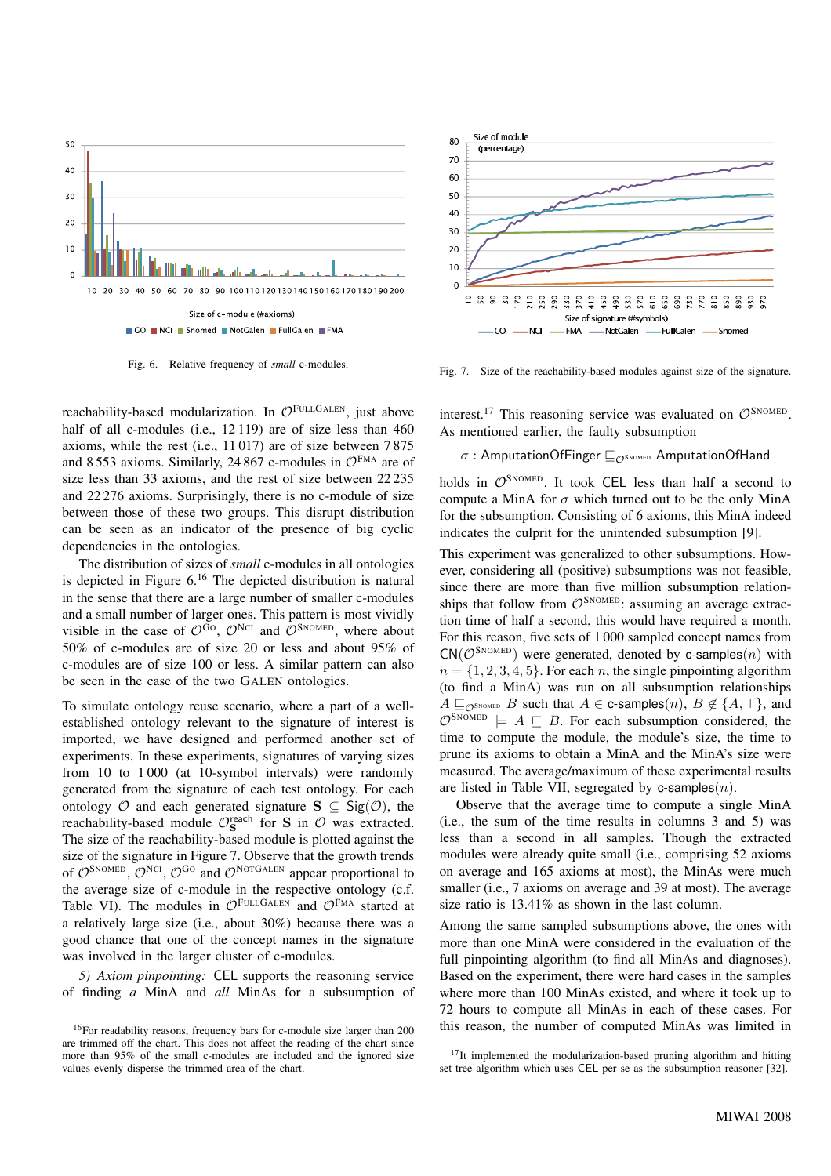

Fig. 6. Relative frequency of *small* c-modules.

reachability-based modularization. In  $\mathcal{O}^{\text{FULLGALEN}}$ , just above half of all c-modules (i.e., 12 119) are of size less than 460 axioms, while the rest (i.e., 11 017) are of size between 7 875 and 8553 axioms. Similarly, 24 867 c-modules in  $\mathcal{O}^{\text{FMA}}$  are of size less than 33 axioms, and the rest of size between 22 235 and 22 276 axioms. Surprisingly, there is no c-module of size between those of these two groups. This disrupt distribution can be seen as an indicator of the presence of big cyclic dependencies in the ontologies.

The distribution of sizes of *small* c-modules in all ontologies is depicted in Figure 6.<sup>16</sup> The depicted distribution is natural in the sense that there are a large number of smaller c-modules and a small number of larger ones. This pattern is most vividly visible in the case of  $\mathcal{O}^{Go}$ ,  $\mathcal{O}^{NCI}$  and  $\mathcal{O}^{S N O MED}$ , where about 50% of c-modules are of size 20 or less and about 95% of c-modules are of size 100 or less. A similar pattern can also be seen in the case of the two GALEN ontologies.

To simulate ontology reuse scenario, where a part of a wellestablished ontology relevant to the signature of interest is imported, we have designed and performed another set of experiments. In these experiments, signatures of varying sizes from 10 to 1 000 (at 10-symbol intervals) were randomly generated from the signature of each test ontology. For each ontology  $\mathcal O$  and each generated signature  $S \subseteq \text{Sig}(\mathcal O)$ , the reachability-based module  $\mathcal{O}_S^{\text{reach}}$  for S in  $\mathcal O$  was extracted. The size of the reachability-based module is plotted against the size of the signature in Figure 7. Observe that the growth trends of  $\mathcal{O}^{\text{SNOMED}}$ ,  $\mathcal{O}^{\text{NCI}}$ ,  $\mathcal{O}^{\text{GO}}$  and  $\mathcal{O}^{\text{NOTGALEN}}$  appear proportional to the average size of c-module in the respective ontology (c.f. Table VI). The modules in  $\mathcal{O}^{\text{FULLGALEN}}$  and  $\mathcal{O}^{\text{FMA}}$  started at a relatively large size (i.e., about 30%) because there was a good chance that one of the concept names in the signature was involved in the larger cluster of c-modules.

*5) Axiom pinpointing:* CEL supports the reasoning service of finding *a* MinA and *all* MinAs for a subsumption of



Fig. 7. Size of the reachability-based modules against size of the signature.

interest.<sup>17</sup> This reasoning service was evaluated on  $\mathcal{O}^{\text{SNOMED}}$ . As mentioned earlier, the faulty subsumption

# σ : AmputationOfFinger  $\Box_{\mathcal{O}^\text{SNOMED}}$  AmputationOfHand

holds in  $\mathcal{O}^{\text{SNOMED}}$ . It took CEL less than half a second to compute a MinA for  $\sigma$  which turned out to be the only MinA for the subsumption. Consisting of 6 axioms, this MinA indeed indicates the culprit for the unintended subsumption [9].

This experiment was generalized to other subsumptions. However, considering all (positive) subsumptions was not feasible, since there are more than five million subsumption relationships that follow from  $\mathcal{O}^{S\text{NOMED}}$ : assuming an average extraction time of half a second, this would have required a month. For this reason, five sets of 1 000 sampled concept names from  $CN(\mathcal{O}^{SNOMED})$  were generated, denoted by c-samples(n) with  $n = \{1, 2, 3, 4, 5\}$ . For each n, the single pinpointing algorithm (to find a MinA) was run on all subsumption relationships  $A \sqsubseteq_{\mathcal{O}S}$ NOMED B such that  $A \in \mathsf{c}$ -samples $(n), B \notin \{A, \top\}$ , and  $\mathcal{O}^{\text{SNOMED}}$   $\models A \sqsubseteq B$ . For each subsumption considered, the time to compute the module, the module's size, the time to prune its axioms to obtain a MinA and the MinA's size were measured. The average/maximum of these experimental results are listed in Table VII, segregated by c-samples $(n)$ .

Observe that the average time to compute a single MinA (i.e., the sum of the time results in columns 3 and 5) was less than a second in all samples. Though the extracted modules were already quite small (i.e., comprising 52 axioms on average and 165 axioms at most), the MinAs were much smaller (i.e., 7 axioms on average and 39 at most). The average size ratio is  $13.41\%$  as shown in the last column.

Among the same sampled subsumptions above, the ones with more than one MinA were considered in the evaluation of the full pinpointing algorithm (to find all MinAs and diagnoses). Based on the experiment, there were hard cases in the samples where more than 100 MinAs existed, and where it took up to 72 hours to compute all MinAs in each of these cases. For this reason, the number of computed MinAs was limited in

<sup>16</sup>For readability reasons, frequency bars for c-module size larger than 200 are trimmed off the chart. This does not affect the reading of the chart since more than 95% of the small c-modules are included and the ignored size values evenly disperse the trimmed area of the chart.

 $17$ It implemented the modularization-based pruning algorithm and hitting set tree algorithm which uses CEL per se as the subsumption reasoner [32].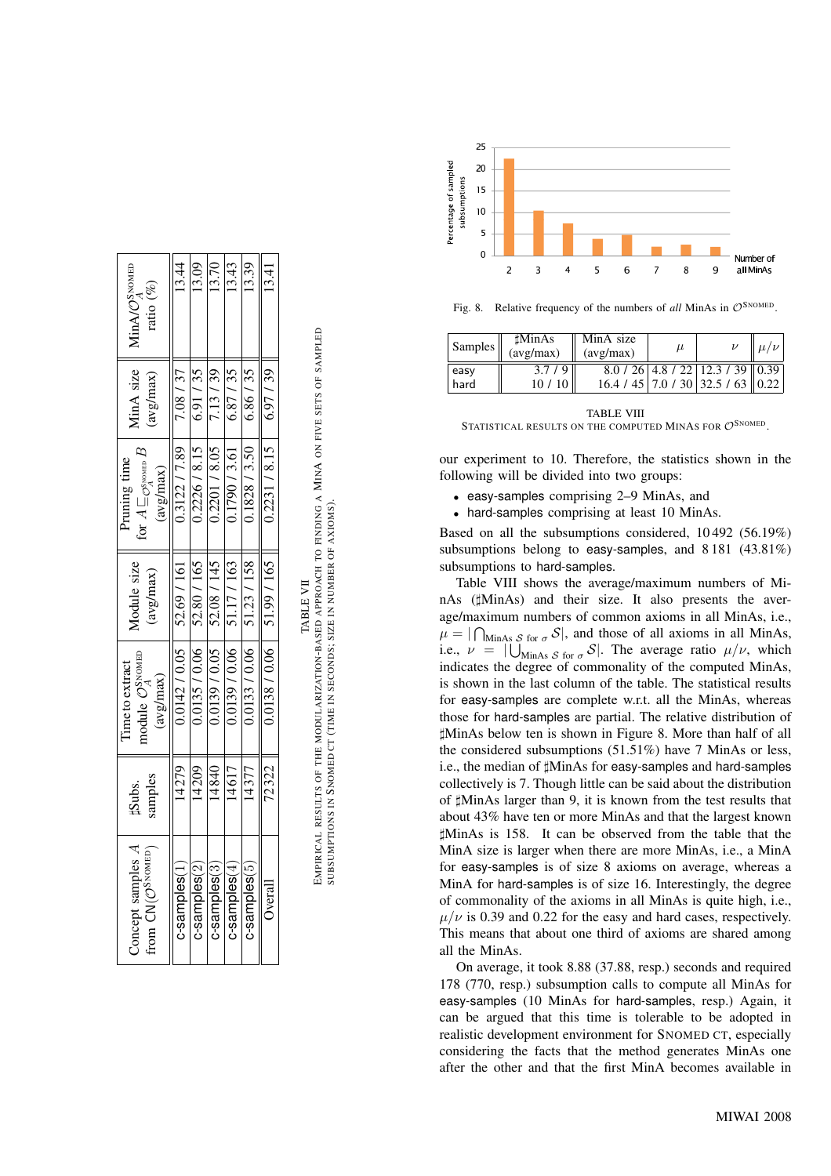| Soncept samples A<br>Trom $CM(\mathcal{O}^{\text{SNOMED}})$ | samples<br>#Subs. | nodule $\mathcal{O}_A^{\text{SNOMED}}$<br>Time to extract<br>(avg/max) | Module size<br>avg/max)       | ior $A \sqsubseteq_{\mathcal{O}_A^{\text{NOMED}}} F$<br>Pruning time<br>$\frac{avg/max}{max}$ | AinA size<br>$\frac{\text{avg}(\text{max})}{\text{avg}}$ | $\text{MinA}/\mathcal{O}^{\text{SNOMED}}_{A}$<br>ratio $(\%)$ |
|-------------------------------------------------------------|-------------------|------------------------------------------------------------------------|-------------------------------|-----------------------------------------------------------------------------------------------|----------------------------------------------------------|---------------------------------------------------------------|
| c-samples <sup>(1</sup>                                     | 14279             |                                                                        | $0.0142 / 0.05$   52.69 / 161 | 0.3122 / 7.89                                                                                 | 7.08 / 37                                                | 13.44                                                         |
| $c$ -samples $(2)$                                          |                   | 0.0135 / 0.06                                                          | 52.80 / 165                   | 0.2226 / 8.15                                                                                 | 6.91/35                                                  | 3.09                                                          |
| $c$ -samples $(3)$                                          | 14840             | 0.0139 / 0.05                                                          | 52.08 / 145                   | 0.2201 / 8.05                                                                                 | 7.13/39                                                  | 13.70                                                         |
| $c$ -samples $(4)$                                          | 14617             | 0.0139 / 0.06                                                          | 51.17/163                     | 0.1790 / 3.61                                                                                 | 6.87/35                                                  | 13.43                                                         |
| $c$ -samples $(5)$                                          | 14377             | 0.0133 / 0.06                                                          | 51.23 / 158                   | 0.1828 / 3.50                                                                                 | 6.86/35                                                  | 13.39                                                         |
| Overall                                                     | 12322             | 0.0138 / 0.06                                                          | 51.99 / 165                   | 0.2231 / 8.15                                                                                 | 6.97/39                                                  | 13.41                                                         |
|                                                             |                   |                                                                        |                               |                                                                                               |                                                          |                                                               |



EMPIRICAL RESULTS OF THE MODULARIZATION-BASED APPROACH TO FINDING A **M**in**A** on five sets of sampled<br>Subsumptions in Snomed ct (time in seconds; size in number of axioms). EMPIRICAL RESULTS OF THE MODULARIZATION-BASED APPROACH TO FINDING A MINA ON FIVE SETS OF SAMPLED SUBSUMPTIONS IN SNOMED CT (TIME IN SECONDS; SIZE IN NUMBER OF AXIOMS).



Fig. 8. Relative frequency of the numbers of *all* MinAs in  $\mathcal{O}^{\text{SNOMED}}$ .

| <b>Samples</b> | <b>MinAs</b><br>(avg/max) | MinA size<br>(avg/max) | $\mu$ |                                          | $\mu/\nu$ |
|----------------|---------------------------|------------------------|-------|------------------------------------------|-----------|
| easy           | $3.7/9$ II                |                        |       | $8.0 / 26$   4.8 / 22   12.3 / 39   0.39 |           |
| hard           | 10/10                     |                        |       | $16.4 / 45$ 7.0 / 30 32.5 / 63 0.22      |           |

TABLE VIII STATISTICAL RESULTS ON THE COMPUTED MINAS FOR  $\mathcal{O}^\text{SNOMED}$ .

our experiment to 10. Therefore, the statistics shown in the following will be divided into tw o groups:

- easy-samples comprising 2–9 MinAs, and
- hard-samples comprising at least 10 MinAs.

Based on all the subsumptions considered, 10 492 (56.19%) subsumptions belong to easy-samples, and 8181 (43.81%) subsumptions to hard-samples .

Table VIII shows the a verage/maximum numbers of MinAs ( $\sharp$ MinAs) and their size. It also presents the average/maximum numbers of common axioms in all MinAs, i.e.,  $\mu = |\bigcap_{\text{MinAs } S \text{ for } \sigma} S|$ , and those of all axioms in all MinAs, i.e.,  $\nu = |\bigcup_{\text{MinAs } S \text{ for } \sigma} S|$ . The average ratio  $\mu/\nu$ , which indicates the degree of commonality of the computed MinAs, is shown in the last column of the table. The statistical results for easy-samples are complete w.r.t. all the MinAs, whereas those for hard-samples are partial. The relative distribution of ]MinAs belo w ten is shown in Figure 8. More than half of all the considered subsumptions (51.51%) ha v e 7 MinAs or less, i.e., the median of  $\sharp$ MinAs for easy-samples and hard-samples collecti vely is 7. Though little can be said about the distribution of  $\sharp$ MinAs larger than 9, it is known from the test results that about 43% ha v e ten or more MinAs and that the largest known ]MinAs is 158. It can be observed from the table that the MinA size is larger when there are more MinAs, i.e., a MinA for easy-samples is of size 8 axioms on a verage, whereas a MinA for hard-samples is of size 16. Interestingly , the degree of commonality of the axioms in all MinAs is quite high, i.e.,  $\mu/\nu$  is 0.39 and 0.22 for the easy and hard cases, respectively. This means that about one third of axioms are shared among all the MinAs.

On a verage, it took 8.88 (37.88, resp.) seconds and required 178 (770, resp.) subsumption calls to compute all MinAs for easy-samples (10 MinAs for hard-samples , resp.) Again, it can be argued that this time is tolerable to be adopted in realistic development environment for SNOMED CT, especially considering the facts that the method generates MinAs one after the other and that the first MinA becomes a vailable in